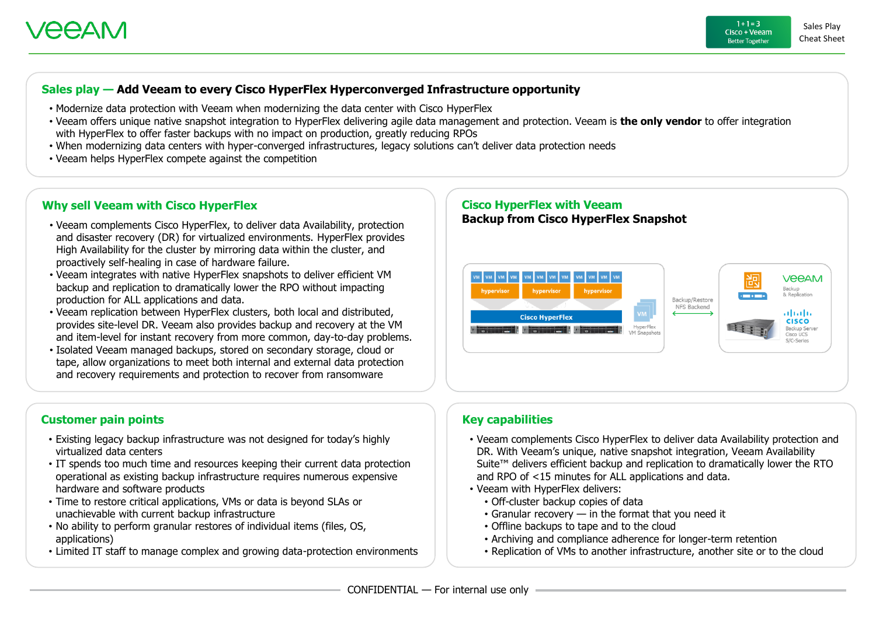#### **Sales play — Add Veeam to every Cisco HyperFlex Hyperconverged Infrastructure opportunity**

- Modernize data protection with Veeam when modernizing the data center with Cisco HyperFlex
- Veeam offers unique native snapshot integration to HyperFlex delivering agile data management and protection. Veeam is **the only vendor** to offer integration with HyperFlex to offer faster backups with no impact on production, greatly reducing RPOs
- When modernizing data centers with hyper-converged infrastructures, legacy solutions can't deliver data protection needs
- Veeam helps HyperFlex compete against the competition

#### **Why sell Veeam with Cisco HyperFlex**

- Veeam complements Cisco HyperFlex, to deliver data Availability, protection and disaster recovery (DR) for virtualized environments. HyperFlex provides High Availability for the cluster by mirroring data within the cluster, and proactively self-healing in case of hardware failure.
- Veeam integrates with native HyperFlex snapshots to deliver efficient VM backup and replication to dramatically lower the RPO without impacting production for ALL applications and data.
- Veeam replication between HyperFlex clusters, both local and distributed, provides site-level DR. Veeam also provides backup and recovery at the VM and item-level for instant recovery from more common, day-to-day problems.
- Isolated Veeam managed backups, stored on secondary storage, cloud or tape, allow organizations to meet both internal and external data protection and recovery requirements and protection to recover from ransomware

## **Customer pain points**

- Existing legacy backup infrastructure was not designed for today's highly virtualized data centers
- IT spends too much time and resources keeping their current data protection operational as existing backup infrastructure requires numerous expensive hardware and software products
- Time to restore critical applications, VMs or data is beyond SLAs or unachievable with current backup infrastructure
- No ability to perform granular restores of individual items (files, OS, applications)
- Limited IT staff to manage complex and growing data-protection environments

## **Cisco HyperFlex with Veeam Backup from Cisco HyperFlex Snapshot**



### **Key capabilities**

- Veeam complements Cisco HyperFlex to deliver data Availability protection and DR. With Veeam's unique, native snapshot integration, Veeam Availability Suite™ delivers efficient backup and replication to dramatically lower the RTO and RPO of <15 minutes for ALL applications and data.
- Veeam with HyperFlex delivers:
	- Off-cluster backup copies of data
	- Granular recovery in the format that you need it
	- Offline backups to tape and to the cloud
	- Archiving and compliance adherence for longer-term retention
	- Replication of VMs to another infrastructure, another site or to the cloud